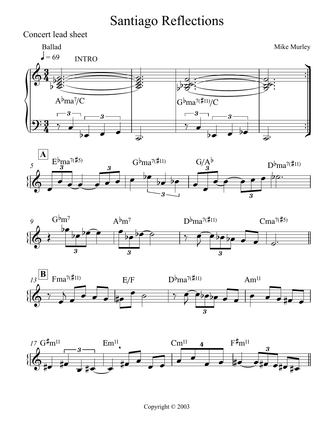## Santiago Reflections

<u>3</u>  $\frac{3}{4}$ <u>3</u>  $\frac{3}{4}$ Mike Murley  $\mathbf{=}\,69$ Concert lead sheet Ì l  $\frac{1}{2}$  $\frac{1}{2}$  $\frac{-3}{2}$   $\frac{3}{4}$   $\frac{3}{4}$   $\frac{3}{4}$   $\frac{3}{4}$   $\frac{3}{4}$   $\frac{3}{4}$   $\frac{3}{4}$   $\frac{3}{4}$   $\frac{3}{4}$   $\frac{3}{4}$   $\frac{3}{4}$   $\frac{3}{4}$   $\frac{3}{4}$   $\frac{3}{4}$   $\frac{3}{4}$   $\frac{3}{4}$   $\frac{3}{4}$   $\frac{3}{4}$   $\frac{3}{4}$   $\frac{3}{4}$   $\frac{3}{4}$   $\Phi$ Ballad E  $\frac{2}{3}$  $\overline{\mathbf{g}}$  $\frac{1}{2}$  $\frac{1}{2}$  $\frac{1}{2}$  $\frac{1}{2}$  $\frac{1}{2}$ INTRO **S**  $\frac{2}{3}$  $\overline{\mathbf{g}}$  $\frac{1}{2}$  $\frac{1}{2}$  $\frac{1}{2}$  $\frac{1}{2}$  $\frac{d}{d}$  $\frac{1}{2}$  $b^{\frac{a}{2}}$  $\frac{1}{2}$  $\frac{1}{2}$  $\sim$ d<br>P  $\frac{1}{2}$  $\frac{1}{2}$  $\frac{1}{2}$  $\overline{\phantom{a}}$  $9:3$  ,  $A^b$ ma<sup>7</sup>/C  $\overline{\phantom{0}}$ 3  $\frac{1}{2}$ 3  $\frac{1}{\sigma}$ .  $G^b$ ma<sup>7(#11)</sup>/C  $\overline{\phantom{0}}$  $-3 \frac{1}{2}$   $\frac{1}{2}$ 3 ਟਾਂ